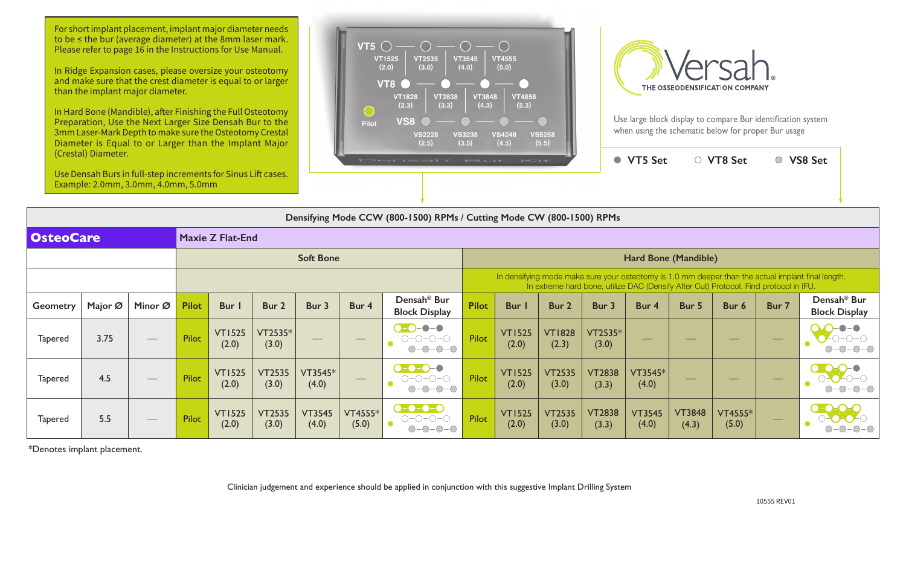Use large block display to compare Bur identification system when using the schematic below for proper Bur usage

|                                                                                                                                                                                             | $\overline{\phantom{a}}$ |                        | <b>VT5 Set</b>         |                        | <b>VT8 Set</b>   |       | <b>VS8 Set</b>                                  |  |  |  |  |  |  |  |
|---------------------------------------------------------------------------------------------------------------------------------------------------------------------------------------------|--------------------------|------------------------|------------------------|------------------------|------------------|-------|-------------------------------------------------|--|--|--|--|--|--|--|
|                                                                                                                                                                                             |                          |                        |                        |                        |                  |       |                                                 |  |  |  |  |  |  |  |
| Mode CW (800-1500) RPMs                                                                                                                                                                     |                          |                        |                        |                        |                  |       |                                                 |  |  |  |  |  |  |  |
|                                                                                                                                                                                             |                          |                        |                        |                        |                  |       |                                                 |  |  |  |  |  |  |  |
| Hard Bone (Mandible)                                                                                                                                                                        |                          |                        |                        |                        |                  |       |                                                 |  |  |  |  |  |  |  |
| In densifying mode make sure your osteotomy is 1.0 mm deeper than the actual implant final length.<br>In extreme hard bone, utilize DAC (Densify After Cut) Protocol. Find protocol in IFU. |                          |                        |                        |                        |                  |       |                                                 |  |  |  |  |  |  |  |
| <b>Bur</b> I                                                                                                                                                                                | Bur <sub>2</sub>         | Bur 3                  | Bur 4                  | Bur 5                  | Bur 6            | Bur 7 | Densah <sup>®</sup> Bur<br><b>Block Display</b> |  |  |  |  |  |  |  |
| <b>VT1525</b><br>(2.0)                                                                                                                                                                      | <b>VT1828</b><br>(2.3)   | VT2535*<br>(3.0)       |                        |                        |                  |       |                                                 |  |  |  |  |  |  |  |
| <b>VT1525</b><br>(2.0)                                                                                                                                                                      | <b>VT2535</b><br>(3.0)   | <b>VT2838</b><br>(3.3) | VT3545*<br>(4.0)       |                        |                  |       |                                                 |  |  |  |  |  |  |  |
| <b>VT1525</b><br>(2.0)                                                                                                                                                                      | <b>VT2535</b><br>(3.0)   | <b>VT2838</b><br>(3.3) | <b>VT3545</b><br>(4.0) | <b>VT3848</b><br>(4.3) | VT4555*<br>(5.0) |       |                                                 |  |  |  |  |  |  |  |

**Densifying Mode CCW (800-1500) RPMs / Cutting Mode CW (800-1500) RPMs**



For short implant placement, implant major diameter needs to be ≤ the bur (average diameter) at the 8mm laser mark. Please refer to page 16 in the Instructions for Use Manual.

| <b>OsteoCare</b> |         | <b>Maxie Z Flat-End</b>         |                  |                        |                        |                          |                                |                                                                                |                                                                                                                                                                                             |                             |                        |                        |                        |                        |                                |                                |                                                 |  |
|------------------|---------|---------------------------------|------------------|------------------------|------------------------|--------------------------|--------------------------------|--------------------------------------------------------------------------------|---------------------------------------------------------------------------------------------------------------------------------------------------------------------------------------------|-----------------------------|------------------------|------------------------|------------------------|------------------------|--------------------------------|--------------------------------|-------------------------------------------------|--|
|                  |         |                                 | <b>Soft Bone</b> |                        |                        |                          |                                |                                                                                |                                                                                                                                                                                             | <b>Hard Bone (Mandible)</b> |                        |                        |                        |                        |                                |                                |                                                 |  |
|                  |         |                                 |                  |                        |                        |                          |                                |                                                                                | In densifying mode make sure your osteotomy is 1.0 mm deeper than the actual implant final length.<br>In extreme hard bone, utilize DAC (Densify After Cut) Protocol. Find protocol in IFU. |                             |                        |                        |                        |                        |                                |                                |                                                 |  |
| <b>Geometry</b>  | Major Ø | Minor Ø                         | <b>Pilot</b>     | Bur I                  | Bur 2                  | Bur 3                    | Bur 4                          | Densah <sup>®</sup> Bur<br><b>Block Display</b>                                | <b>Pilot</b>                                                                                                                                                                                | Bur I                       | Bur 2                  | Bur 3                  | Bur 4                  | Bur 5                  | Bur 6                          | Bur 7                          | Densah <sup>®</sup> Bur<br><b>Block Display</b> |  |
| <b>Tapered</b>   | 3.75    | $\overline{\phantom{a}}$        | Pilot            | <b>VT1525</b><br>(2.0) | VT2535*<br>(3.0)       | $\qquad \qquad - \qquad$ | $\overline{\phantom{a}}$       | $\bullet$ - $\bullet$<br>0-0-0-0<br>$\bigcap$ $\bigcap$                        | Pilot                                                                                                                                                                                       | <b>VT1525</b><br>(2.0)      | <b>VT1828</b><br>(2.3) | VT2535*<br>(3.0)       |                        |                        | $\overbrace{\hspace{25mm}}^{}$ | $\overbrace{\hspace{25mm}}^{}$ |                                                 |  |
| <b>Tapered</b>   | 4.5     | $\hspace{0.1mm}-\hspace{0.1mm}$ | Pilot            | <b>VT1525</b><br>(2.0) | <b>VT2535</b><br>(3.0) | VT3545*<br>(4.0)         | $\overbrace{\hspace{27mm}}^{}$ | $\bigcirc - \bigcirc - \bigcirc - \bigcirc$<br>$O-O-O-O$<br>$\bigcap -\bigcap$ | Pilot                                                                                                                                                                                       | <b>VT1525</b><br>(2.0)      | <b>VT2535</b><br>(3.0) | <b>VT2838</b><br>(3.3) | VT3545*<br>(4.0)       |                        | __                             | $\frac{1}{2}$                  |                                                 |  |
| <b>Tapered</b>   | 5.5     | $\hspace{0.1mm}-\hspace{0.1mm}$ | Pilot            | <b>VT1525</b><br>(2.0) | <b>VT2535</b><br>(3.0) | <b>VT3545</b><br>(4.0)   | VT4555*<br>(5.0)               | $\bullet$ - $\bullet$ - $\bullet$<br>$O-O-O-O$                                 | Pilot                                                                                                                                                                                       | <b>VT1525</b><br>(2.0)      | <b>VT2535</b><br>(3.0) | <b>VT2838</b><br>(3.3) | <b>VT3545</b><br>(4.0) | <b>VT3848</b><br>(4.3) | <b>VT4555*</b><br>(5.0)        |                                |                                                 |  |

\*Denotes implant placement.

Clinician judgement and experience should be applied in conjunction with this suggestive Implant Drilling System

In Ridge Expansion cases, please oversize your osteotomy and make sure that the crest diameter is equal to or larger than the implant major diameter.

In Hard Bone (Mandible), after Finishing the Full Osteotomy Preparation, Use the Next Larger Size Densah Bur to the 3mm Laser-Mark Depth to make sure the Osteotomy Crestal Diameter is Equal to or Larger than the Implant Major (Crestal) Diameter.

Use Densah Burs in full-step increments for Sinus Lift cases. Example: 2.0mm, 3.0mm, 4.0mm, 5.0mm

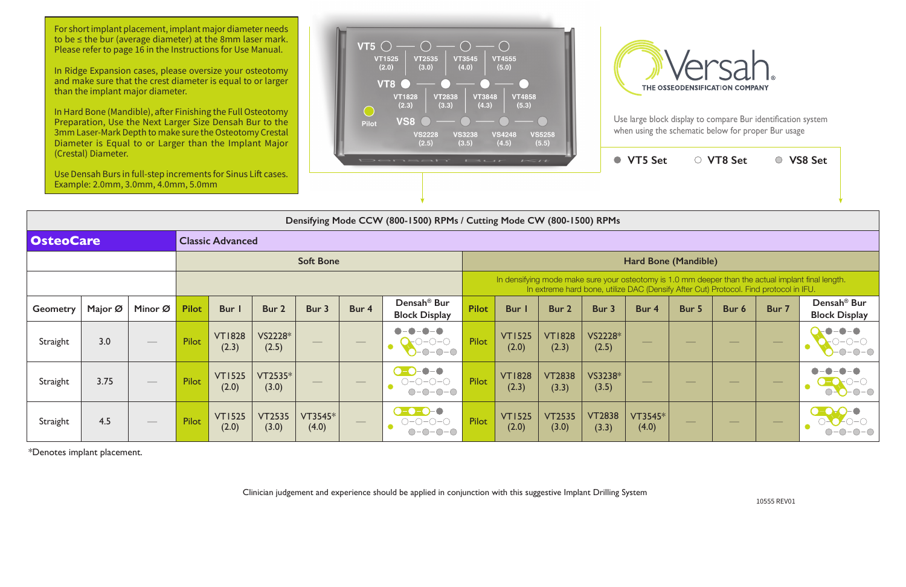

|                  | Densifying Mode CCW (800-1500) RPMs / Cutting Mode CW (800-1500) RPMs |                   |              |                        |                        |                                |                                                                                                                                                                                             |                                                                                                                                                                                                                                                                                                                                                                                 |                             |                        |                        |                        |                                |               |                                |               |                                                 |
|------------------|-----------------------------------------------------------------------|-------------------|--------------|------------------------|------------------------|--------------------------------|---------------------------------------------------------------------------------------------------------------------------------------------------------------------------------------------|---------------------------------------------------------------------------------------------------------------------------------------------------------------------------------------------------------------------------------------------------------------------------------------------------------------------------------------------------------------------------------|-----------------------------|------------------------|------------------------|------------------------|--------------------------------|---------------|--------------------------------|---------------|-------------------------------------------------|
| <b>OsteoCare</b> | <b>Classic Advanced</b>                                               |                   |              |                        |                        |                                |                                                                                                                                                                                             |                                                                                                                                                                                                                                                                                                                                                                                 |                             |                        |                        |                        |                                |               |                                |               |                                                 |
|                  |                                                                       |                   |              |                        |                        | <b>Soft Bone</b>               |                                                                                                                                                                                             |                                                                                                                                                                                                                                                                                                                                                                                 | <b>Hard Bone (Mandible)</b> |                        |                        |                        |                                |               |                                |               |                                                 |
|                  |                                                                       |                   |              |                        |                        |                                | In densifying mode make sure your osteotomy is 1.0 mm deeper than the actual implant final length.<br>In extreme hard bone, utilize DAC (Densify After Cut) Protocol. Find protocol in IFU. |                                                                                                                                                                                                                                                                                                                                                                                 |                             |                        |                        |                        |                                |               |                                |               |                                                 |
| <b>Geometry</b>  | Major Ø                                                               | Minor Ø           | <b>Pilot</b> | Bur I                  | Bur 2                  | Bur 3                          | Bur 4                                                                                                                                                                                       | Densah <sup>®</sup> Bur<br><b>Block Display</b>                                                                                                                                                                                                                                                                                                                                 | <b>Pilot</b>                | <b>Bur</b> I           | Bur 2                  | Bur 3                  | Bur 4                          | Bur 5         | Bur 6                          | Bur 7         | Densah <sup>®</sup> Bur<br><b>Block Display</b> |
| Straight         | 3.0                                                                   |                   | Pilot        | <b>VT1828</b><br>(2.3) | VS2228*<br>(2.5)       |                                |                                                                                                                                                                                             | $\bullet-\bullet$<br>$O$ -0-0-0                                                                                                                                                                                                                                                                                                                                                 | Pilot                       | <b>VT1525</b><br>(2.0) | <b>VT1828</b><br>(2.3) | VS2228*<br>(2.5)       |                                |               |                                |               |                                                 |
| Straight         | 3.75                                                                  | $\hspace{0.05cm}$ | Pilot        | <b>VT1525</b><br>(2.0) | VT2535*<br>(3.0)       | $\overbrace{\hspace{25mm}}^{}$ |                                                                                                                                                                                             | $\begin{picture}(20,20) \put(0,0){\line(1,0){10}} \put(15,0){\line(1,0){10}} \put(15,0){\line(1,0){10}} \put(15,0){\line(1,0){10}} \put(15,0){\line(1,0){10}} \put(15,0){\line(1,0){10}} \put(15,0){\line(1,0){10}} \put(15,0){\line(1,0){10}} \put(15,0){\line(1,0){10}} \put(15,0){\line(1,0){10}} \put(15,0){\line(1,0){10}} \put(15,0){\line(1$<br>$O-O-O-O-O$<br>$O-O-O-O$ | Pilot                       | <b>VT1828</b><br>(2.3) | <b>VT2838</b><br>(3.3) | VS3238*<br>(3.5)       | $\overbrace{\hspace{25mm}}^{}$ | $\frac{1}{2}$ | $\overbrace{\hspace{25mm}}^{}$ | $\frac{1}{2}$ |                                                 |
| Straight         | 4.5                                                                   | $\hspace{0.05cm}$ | Pilot        | <b>VT1525</b><br>(2.0) | <b>VT2535</b><br>(3.0) | VT3545*<br>(4.0)               | $\hspace{0.05cm}$                                                                                                                                                                           | $-$ 0-0-0<br>$O-O-O-O$<br>$-O$ - $O$                                                                                                                                                                                                                                                                                                                                            | Pilot                       | <b>VT1525</b><br>(2.0) | <b>VT2535</b><br>(3.0) | <b>VT2838</b><br>(3.3) | VT3545*<br>(4.0)               | $\frac{1}{2}$ | $\overline{\phantom{a}}$       | $\frac{1}{2}$ |                                                 |

For short implant placement, implant major diameter needs to be ≤ the bur (average diameter) at the 8mm laser mark. Please refer to page 16 in the Instructions for Use Manual.

\*Denotes implant placement.

Clinician judgement and experience should be applied in conjunction with this suggestive Implant Drilling System

In Ridge Expansion cases, please oversize your osteotomy and make sure that the crest diameter is equal to or larger than the implant major diameter.

In Hard Bone (Mandible), after Finishing the Full Osteotomy Preparation, Use the Next Larger Size Densah Bur to the 3mm Laser-Mark Depth to make sure the Osteotomy Crestal Diameter is Equal to or Larger than the Implant Major (Crestal) Diameter.

Use Densah Burs in full-step increments for Sinus Lift cases. Example: 2.0mm, 3.0mm, 4.0mm, 5.0mm





Use large block display to compare Bur identification system when using the schematic below for proper Bur usage